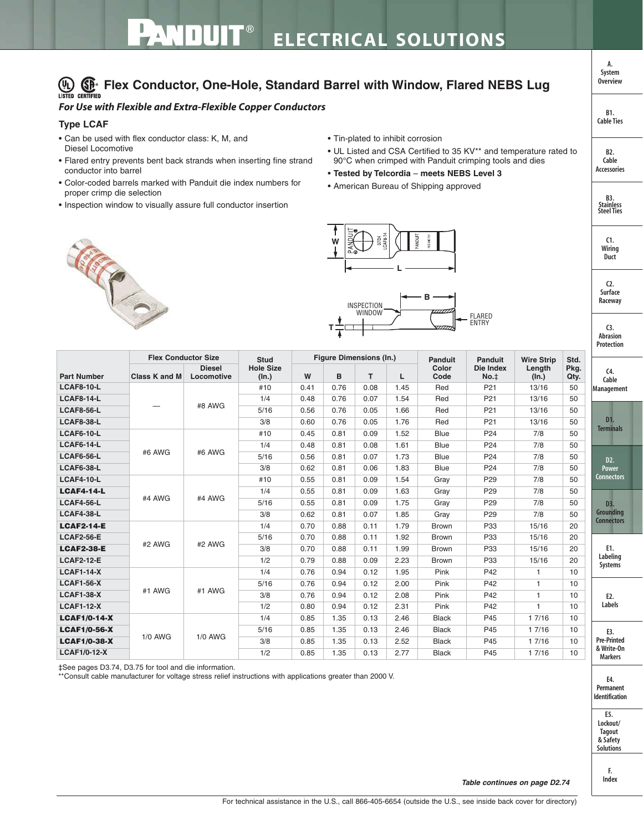## **(VL)**  $\bigoplus_{\text{USTED}} \bigoplus_{\text{CERTIFIED}}$  Flex Conductor, One-Hole, Standard Barrel with Window, Flared NEBS Lug

## *For Use with Flexible and Extra-Flexible Copper Conductors*

## **Type LCAF**

- Can be used with flex conductor class: K, M, and Diesel Locomotive
- Flared entry prevents bent back strands when inserting fine strand conductor into barrel
- Color-coded barrels marked with Panduit die index numbers for proper crimp die selection
- Inspection window to visually assure full conductor insertion
- Tin-plated to inhibit corrosion
- UL Listed and CSA Certified to 35 KV\*\* and temperature rated to 90°C when crimped with Panduit crimping tools and dies
- **Tested by Telcordia meets NEBS Level 3**
- American Bureau of Shipping approved





|                     |                            |                             |                           |      |                                |      |      |                |                   |                   |              | Protection                               |
|---------------------|----------------------------|-----------------------------|---------------------------|------|--------------------------------|------|------|----------------|-------------------|-------------------|--------------|------------------------------------------|
| <b>Part Number</b>  | <b>Flex Conductor Size</b> |                             | <b>Stud</b>               |      | <b>Figure Dimensions (In.)</b> |      |      | <b>Panduit</b> | <b>Panduit</b>    | <b>Wire Strip</b> | Std.         |                                          |
|                     | <b>Class K and M</b>       | <b>Diesel</b><br>Locomotive | <b>Hole Size</b><br>(ln.) | W    | B                              | T.   | L    | Color<br>Code  | Die Index<br>No.‡ | Length<br>(In.)   | Pkg.<br>Qty. | C <sub>4</sub><br>Cable                  |
| <b>LCAF8-10-L</b>   |                            |                             | #10                       | 0.41 | 0.76                           | 0.08 | 1.45 | Red            | P <sub>21</sub>   | 13/16             | 50           | Management                               |
| <b>LCAF8-14-L</b>   |                            | #8 AWG                      | 1/4                       | 0.48 | 0.76                           | 0.07 | 1.54 | Red            | P <sub>21</sub>   | 13/16             | 50           |                                          |
| <b>LCAF8-56-L</b>   |                            |                             | 5/16                      | 0.56 | 0.76                           | 0.05 | 1.66 | Red            | P <sub>21</sub>   | 13/16             | 50           | D <sub>1</sub><br><b>Terminals</b>       |
| <b>LCAF8-38-L</b>   |                            |                             | 3/8                       | 0.60 | 0.76                           | 0.05 | 1.76 | Red            | P <sub>21</sub>   | 13/16             | 50           |                                          |
| <b>LCAF6-10-L</b>   | #6 AWG                     | #6 AWG                      | #10                       | 0.45 | 0.81                           | 0.09 | 1.52 | <b>Blue</b>    | P <sub>24</sub>   | 7/8               | 50           |                                          |
| <b>LCAF6-14-L</b>   |                            |                             | 1/4                       | 0.48 | 0.81                           | 0.08 | 1.61 | <b>Blue</b>    | P <sub>24</sub>   | 7/8               | 50           | D2.<br><b>Power</b><br><b>Connectors</b> |
| <b>LCAF6-56-L</b>   |                            |                             | 5/16                      | 0.56 | 0.81                           | 0.07 | 1.73 | <b>Blue</b>    | P <sub>24</sub>   | 7/8               | 50           |                                          |
| <b>LCAF6-38-L</b>   |                            |                             | 3/8                       | 0.62 | 0.81                           | 0.06 | 1.83 | <b>Blue</b>    | P <sub>24</sub>   | 7/8               | 50           |                                          |
| <b>LCAF4-10-L</b>   |                            | #4 AWG                      | #10                       | 0.55 | 0.81                           | 0.09 | 1.54 | Gray           | P <sub>29</sub>   | 7/8               | 50           |                                          |
| <b>LCAF4-14-L</b>   |                            |                             | 1/4                       | 0.55 | 0.81                           | 0.09 | 1.63 | Gray           | P <sub>29</sub>   | 7/8               | 50           | D3.<br>Grounding<br><b>Connectors</b>    |
| <b>LCAF4-56-L</b>   | #4 AWG                     |                             | 5/16                      | 0.55 | 0.81                           | 0.09 | 1.75 | Gray           | P <sub>29</sub>   | 7/8               | 50           |                                          |
| <b>LCAF4-38-L</b>   |                            |                             | 3/8                       | 0.62 | 0.81                           | 0.07 | 1.85 | Gray           | P <sub>29</sub>   | 7/8               | 50           |                                          |
| <b>LCAF2-14-E</b>   |                            | #2 AWG                      | 1/4                       | 0.70 | 0.88                           | 0.11 | 1.79 | <b>Brown</b>   | P33               | 15/16             | 20           |                                          |
| <b>LCAF2-56-E</b>   |                            |                             | 5/16                      | 0.70 | 0.88                           | 0.11 | 1.92 | Brown          | P33               | 15/16             | 20           | E1.<br>Labeling<br>Systems               |
| <b>LCAF2-38-E</b>   | #2 AWG                     |                             | 3/8                       | 0.70 | 0.88                           | 0.11 | 1.99 | Brown          | P33               | 15/16             | 20           |                                          |
| <b>LCAF2-12-E</b>   |                            |                             | 1/2                       | 0.79 | 0.88                           | 0.09 | 2.23 | <b>Brown</b>   | P33               | 15/16             | 20           |                                          |
| <b>LCAF1-14-X</b>   |                            | #1 AWG                      | 1/4                       | 0.76 | 0.94                           | 0.12 | 1.95 | Pink           | P42               | 1                 | 10           |                                          |
| <b>LCAF1-56-X</b>   | #1 AWG                     |                             | 5/16                      | 0.76 | 0.94                           | 0.12 | 2.00 | Pink           | P42               | 1                 | 10           | E2.<br>Labels                            |
| <b>LCAF1-38-X</b>   |                            |                             | 3/8                       | 0.76 | 0.94                           | 0.12 | 2.08 | Pink           | P42               | $\mathbf{1}$      | 10           |                                          |
| <b>LCAF1-12-X</b>   |                            |                             | 1/2                       | 0.80 | 0.94                           | 0.12 | 2.31 | Pink           | P42               | 1                 | 10           |                                          |
| <b>LCAF1/0-14-X</b> |                            | $1/0$ AWG                   | 1/4                       | 0.85 | 1.35                           | 0.13 | 2.46 | <b>Black</b>   | P45               | 1 7/16            | 10           |                                          |
| <b>LCAF1/0-56-X</b> |                            |                             | 5/16                      | 0.85 | 1.35                           | 0.13 | 2.46 | <b>Black</b>   | P45               | 1 7/16            | 10           | E3.                                      |
| <b>LCAF1/0-38-X</b> | 1/0 AWG                    |                             | 3/8                       | 0.85 | 1.35                           | 0.13 | 2.52 | <b>Black</b>   | P45               | 1 7/16            | 10           | <b>Pre-Printed</b>                       |
| <b>LCAF1/0-12-X</b> |                            |                             | 1/2                       | 0.85 | 1.35                           | 0.13 | 2.77 | <b>Black</b>   | P45               | 1 7/16            | 10           | & Write-On<br><b>Markers</b>             |

**T**

‡See pages D3.74, D3.75 for tool and die information.

\*\*Consult cable manufacturer for voltage stress relief instructions with applications greater than 2000 V.



**E5. Lockout/ Tagout & Safety Solutions**

> **F. Index**

**Overview**

**A. System**

**B1. Cable Ties**

**B2. Cable Accessories**

> **C1. Wiring Duct**

**C2. Surface Raceway**

**B3. Stainless Steel Ties**

**C3. Abrasion**